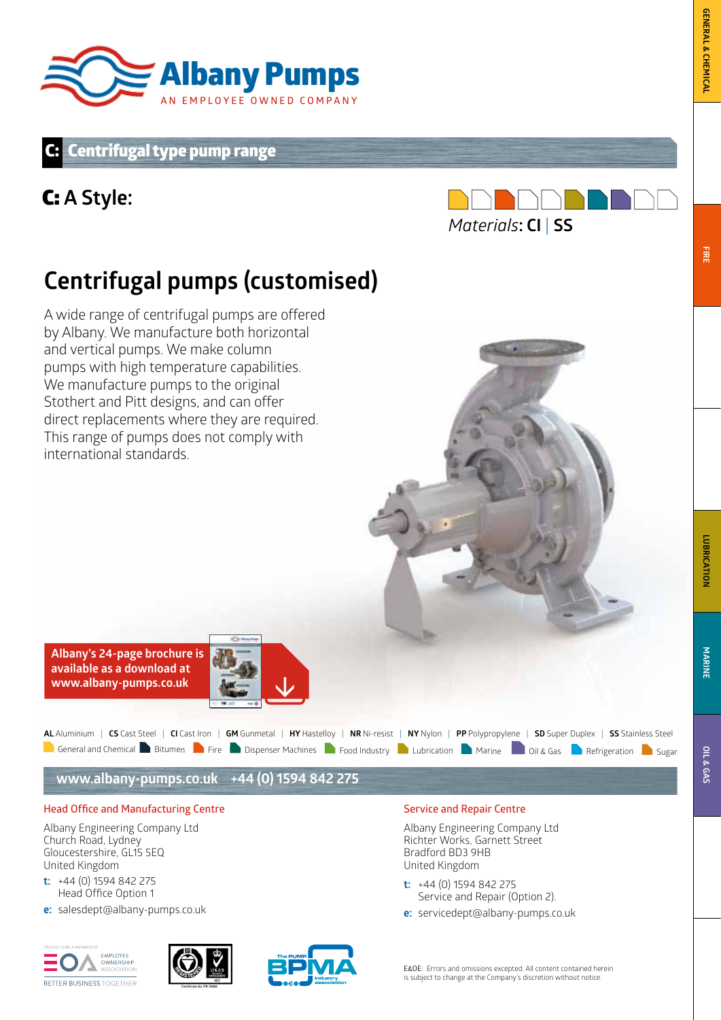

## Centrifugal type pump range

## C: **A Style:**



## **Centrifugal pumps (customised)**

A wide range of centrifugal pumps are offered by Albany. We manufacture both horizontal and vertical pumps. We make column pumps with high temperature capabilities. We manufacture pumps to the original Stothert and Pitt designs, and can offer direct replacements where they are required. This range of pumps does not comply with international standards.



| AL Aluminium   CS Cast Steel   CI Cast Iron   GM Gunmetal   HY Hastelloy   NR Ni-resist   NY Nylon   PP Polypropylene   SD Super Duplex   SS Stainless Steel |  |  |  |  |  |  |  |  |
|--------------------------------------------------------------------------------------------------------------------------------------------------------------|--|--|--|--|--|--|--|--|
| General and Chemical Buitumen Parise Dispenser Machines Prood Industry Pubrication PMarine Poil & Gas PRefrigeration Disugar                                 |  |  |  |  |  |  |  |  |

**www.albany-pumps.co.uk +44 (0) 1594 842 275**

#### **Head Office and Manufacturing Centre**

Albany Engineering Company Ltd Church Road, Lydney Gloucestershire, GL15 5EQ United Kingdom

- **t:** +44 (0) 1594 842 275 Head Office Option 1
- **e:** salesdept@albany-pumps.co.uk







#### **Service and Repair Centre**

Albany Engineering Company Ltd Richter Works, Garnett Street Bradford BD3 9HB United Kingdom

- **t:** +44 (0) 1594 842 275 Service and Repair (Option 2).
- **e:** servicedept@albany-pumps.co.uk

**FIRE**

E&OE: Errors and omissions excepted. All content contained herein is subject to change at the Company's discretion without notice.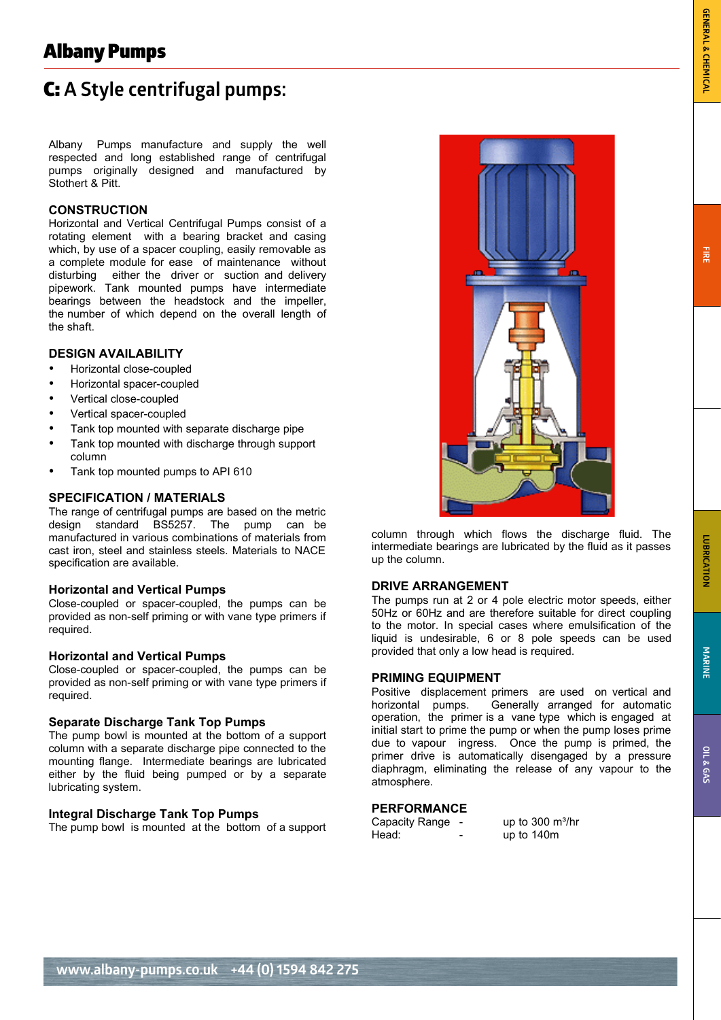# C: **A Style centrifugal pumps:** Albany Pumps

Albany Pumps manufacture and supply the well respected and long established range of centrifugal pumps originally designed and manufactured by Stothert & Pitt.

#### **CONSTRUCTION**

Horizontal and Vertical Centrifugal Pumps consist of a rotating element with a bearing bracket and casing which, by use of a spacer coupling, easily removable as a complete module for ease of maintenance without disturbing either the driver or suction and delivery pipework. Tank mounted pumps have intermediate bearings between the headstock and the impeller, the number of which depend on the overall length of the shaft.

#### **DESIGN AVAILABILITY**

- Horizontal close-coupled
- Horizontal spacer-coupled
- Vertical close-coupled
- Vertical spacer-coupled
- Tank top mounted with separate discharge pipe
- Tank top mounted with discharge through support column
- Tank top mounted pumps to API 610

#### **SPECIFICATION / MATERIALS**

The range of centrifugal pumps are based on the metric design standard BS5257. The pump can be manufactured in various combinations of materials from cast iron, steel and stainless steels. Materials to NACE specification are available.

#### **Horizontal and Vertical Pumps**

Close-coupled or spacer-coupled, the pumps can be provided as non-self priming or with vane type primers if required.

#### **Horizontal and Vertical Pumps**

Close-coupled or spacer-coupled, the pumps can be provided as non-self priming or with vane type primers if required.

#### **Separate Discharge Tank Top Pumps**

The pump bowl is mounted at the bottom of a support column with a separate discharge pipe connected to the mounting flange. Intermediate bearings are lubricated either by the fluid being pumped or by a separate lubricating system.

#### **Integral Discharge Tank Top Pumps**

The pump bowl is mounted at the bottom of a support



intermediate bearings are lubricated by the fluid as it passes up the column.

#### **DRIVE ARRANGEMENT**

The pumps run at 2 or 4 pole electric motor speeds, either 50Hz or 60Hz and are therefore suitable for direct coupling to the motor. In special cases where emulsification of the liquid is undesirable, 6 or 8 pole speeds can be used provided that only a low head is required.

#### **PRIMING EQUIPMENT**

Positive displacement primers are used on vertical and horizontal pumps. Generally arranged for automatic Generally arranged for automatic operation, the primer is a vane type which is engaged at initial start to prime the pump or when the pump loses prime due to vapour ingress. Once the pump is primed, the primer drive is automatically disengaged by a pressure diaphragm, eliminating the release of any vapour to the atmosphere.

#### **PERFORMANCE**

| Capacity Range - | up to $300 \text{ m}^3/\text{hr}$ |
|------------------|-----------------------------------|
| Head:            | up to 140m                        |

CP/0100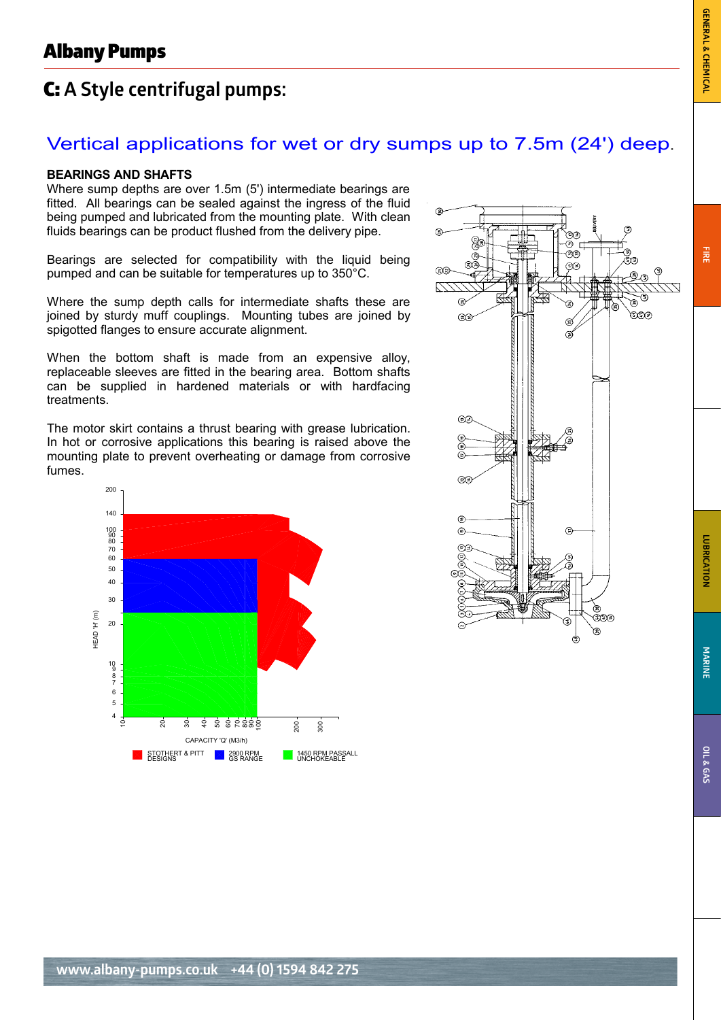## C: **A Style centrifugal pumps:** ugal pumps: with a set of the set of the set of the set of the set of the set of the set of the set of the set o<br>In the set of the set of the set of the set of the set of the set of the set of the set of the set of the set

## Vertical applications for wet or dry sumps up to 7.5m (24') deep.

#### **BEARINGS AND SHAFTS**

Where sump depths are over 1.5m (5') intermediate bearings are fitted. All bearings can be sealed against the ingress of the fluid being pumped and lubricated from the mounting plate. With clean fluids bearings can be product flushed from the delivery pipe.

Bearings are selected for compatibility with the liquid being pumped and can be suitable for temperatures up to 350°C.

Where the sump depth calls for intermediate shafts these are joined by sturdy muff couplings. Mounting tubes are joined by spigotted flanges to ensure accurate alignment.

When the bottom shaft is made from an expensive alloy, replaceable sleeves are fitted in the bearing area. Bottom shafts can be supplied in hardened materials or with hardfacing treatments.

The motor skirt contains a thrust bearing with grease lubrication. In hot or corrosive applications this bearing is raised above the mounting plate to prevent overheating or damage from corrosive fumes.